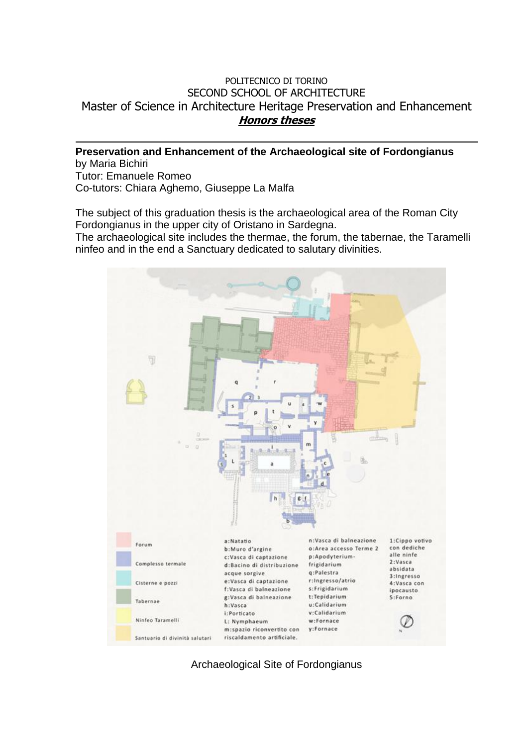## POLITECNICO DI TORINO SECOND SCHOOL OF ARCHITECTURE Master of Science in Architecture Heritage Preservation and Enhancement **Honors theses**

**Preservation and Enhancement of the Archaeological site of Fordongianus** by Maria Bichiri Tutor: Emanuele Romeo Co-tutors: Chiara Aghemo, Giuseppe La Malfa

The subject of this graduation thesis is the archaeological area of the Roman City Fordongianus in the upper city of Oristano in Sardegna.

The archaeological site includes the thermae, the forum, the tabernae, the Taramelli ninfeo and in the end a Sanctuary dedicated to salutary divinities.



Archaeological Site of Fordongianus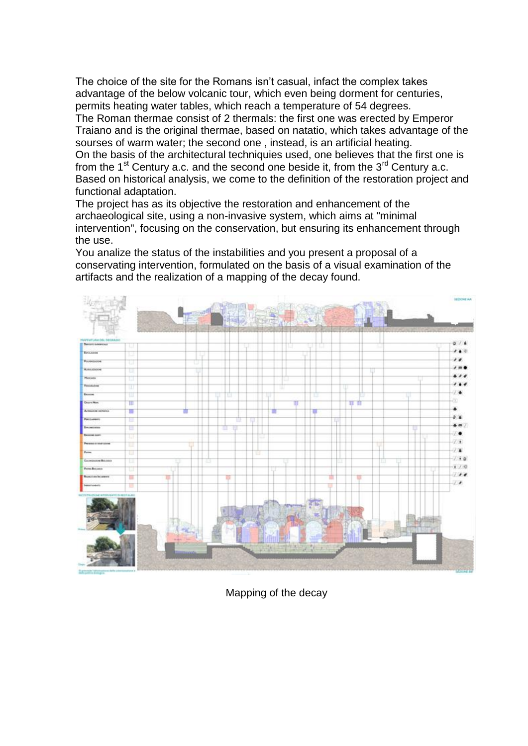The choice of the site for the Romans isn't casual, infact the complex takes advantage of the below volcanic tour, which even being dorment for centuries, permits heating water tables, which reach a temperature of 54 degrees.

The Roman thermae consist of 2 thermals: the first one was erected by Emperor Traiano and is the original thermae, based on natatio, which takes advantage of the sourses of warm water; the second one , instead, is an artificial heating. On the basis of the architectural techniquies used, one believes that the first one is from the  $1<sup>st</sup>$  Century a.c. and the second one beside it, from the  $3<sup>rd</sup>$  Century a.c. Based on historical analysis, we come to the definition of the restoration project and functional adaptation.

The project has as its objective the restoration and enhancement of the archaeological site, using a non-invasive system, which aims at "minimal intervention", focusing on the conservation, but ensuring its enhancement through the use.

You analize the status of the instabilities and you present a proposal of a conservating intervention, formulated on the basis of a visual examination of the artifacts and the realization of a mapping of the decay found.



Mapping of the decay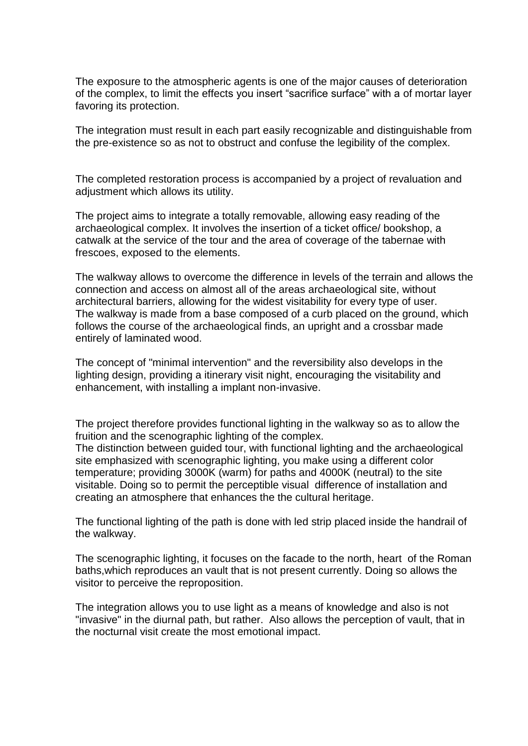The exposure to the atmospheric agents is one of the major causes of deterioration of the complex, to limit the effects you insert "sacrifice surface" with a of mortar layer favoring its protection.

The integration must result in each part easily recognizable and distinguishable from the pre-existence so as not to obstruct and confuse the legibility of the complex.

The completed restoration process is accompanied by a project of revaluation and adjustment which allows its utility.

The project aims to integrate a totally removable, allowing easy reading of the archaeological complex. It involves the insertion of a ticket office/ bookshop, a catwalk at the service of the tour and the area of coverage of the tabernae with frescoes, exposed to the elements.

The walkway allows to overcome the difference in levels of the terrain and allows the connection and access on almost all of the areas archaeological site, without architectural barriers, allowing for the widest visitability for every type of user. The walkway is made from a base composed of a curb placed on the ground, which follows the course of the archaeological finds, an upright and a crossbar made entirely of laminated wood.

The concept of "minimal intervention" and the reversibility also develops in the lighting design, providing a itinerary visit night, encouraging the visitability and enhancement, with installing a implant non-invasive.

The project therefore provides functional lighting in the walkway so as to allow the fruition and the scenographic lighting of the complex.

The distinction between guided tour, with functional lighting and the archaeological site emphasized with scenographic lighting, you make using a different color temperature; providing 3000K (warm) for paths and 4000K (neutral) to the site visitable. Doing so to permit the perceptible visual difference of installation and creating an atmosphere that enhances the the cultural heritage.

The functional lighting of the path is done with led strip placed inside the handrail of the walkway.

The scenographic lighting, it focuses on the facade to the north, heart of the Roman baths,which reproduces an vault that is not present currently. Doing so allows the visitor to perceive the reproposition.

The integration allows you to use light as a means of knowledge and also is not "invasive" in the diurnal path, but rather. Also allows the perception of vault, that in the nocturnal visit create the most emotional impact.